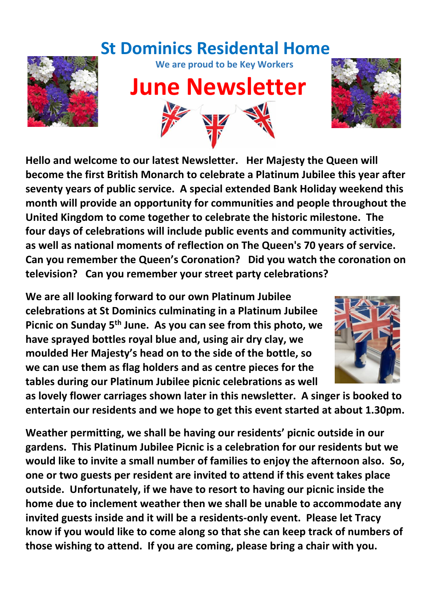# **St Dominics Residental Home**



**We are proud to be Key Workers**

# **June Newsletter**



**Hello and welcome to our latest Newsletter. Her Majesty the Queen will become the first British Monarch to celebrate a Platinum Jubilee this year after seventy years of public service. A special extended Bank Holiday weekend this month will provide an opportunity for communities and people throughout the United Kingdom to come together to celebrate the historic milestone. The four days of celebrations will include public events and community activities, as well as national moments of reflection on The Queen's 70 years of service. Can you remember the Queen's Coronation? Did you watch the coronation on television? Can you remember your street party celebrations?** 

**We are all looking forward to our own Platinum Jubilee celebrations at St Dominics culminating in a Platinum Jubilee Picnic on Sunday 5th June. As you can see from this photo, we have sprayed bottles royal blue and, using air dry clay, we moulded Her Majesty's head on to the side of the bottle, so we can use them as flag holders and as centre pieces for the tables during our Platinum Jubilee picnic celebrations as well** 



**as lovely flower carriages shown later in this newsletter. A singer is booked to entertain our residents and we hope to get this event started at about 1.30pm.**

**Weather permitting, we shall be having our residents' picnic outside in our gardens. This Platinum Jubilee Picnic is a celebration for our residents but we would like to invite a small number of families to enjoy the afternoon also. So, one or two guests per resident are invited to attend if this event takes place outside. Unfortunately, if we have to resort to having our picnic inside the home due to inclement weather then we shall be unable to accommodate any invited guests inside and it will be a residents-only event. Please let Tracy know if you would like to come along so that she can keep track of numbers of those wishing to attend. If you are coming, please bring a chair with you.**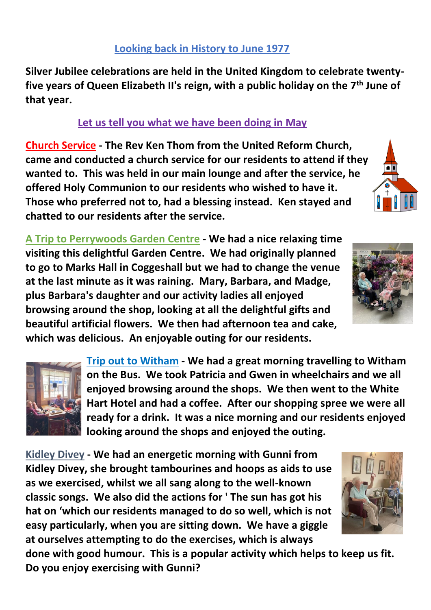**Silver Jubilee celebrations are held in the United Kingdom to celebrate twentyfive years of Queen Elizabeth II's reign, with a public holiday on the 7th June of that year.**

### **Let us tell you what we have been doing in May**

**Church Service - The Rev Ken Thom from the United Reform Church, came and conducted a church service for our residents to attend if they wanted to. This was held in our main lounge and after the service, he offered Holy Communion to our residents who wished to have it. Those who preferred not to, had a blessing instead. Ken stayed and chatted to our residents after the service.** 

**A Trip to Perrywoods Garden Centre - We had a nice relaxing time visiting this delightful Garden Centre. We had originally planned to go to Marks Hall in Coggeshall but we had to change the venue at the last minute as it was raining. Mary, Barbara, and Madge, plus Barbara's daughter and our activity ladies all enjoyed browsing around the shop, looking at all the delightful gifts and beautiful artificial flowers. We then had afternoon tea and cake, which was delicious. An enjoyable outing for our residents.**

> **Trip out to Witham - We had a great morning travelling to Witham on the Bus. We took Patricia and Gwen in wheelchairs and we all enjoyed browsing around the shops. We then went to the White Hart Hotel and had a coffee. After our shopping spree we were all ready for a drink. It was a nice morning and our residents enjoyed looking around the shops and enjoyed the outing.**

**Kidley Divey - We had an energetic morning with Gunni from Kidley Divey, she brought tambourines and hoops as aids to use as we exercised, whilst we all sang along to the well-known classic songs. We also did the actions for ' The sun has got his hat on 'which our residents managed to do so well, which is not easy particularly, when you are sitting down. We have a giggle at ourselves attempting to do the exercises, which is always** 

**done with good humour. This is a popular activity which helps to keep us fit. Do you enjoy exercising with Gunni?** 







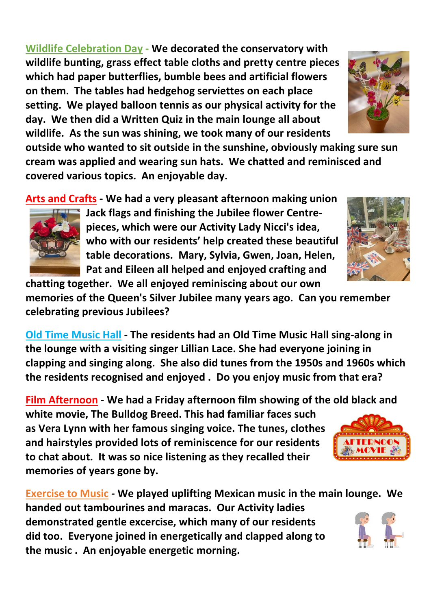**Wildlife Celebration Day - We decorated the conservatory with wildlife bunting, grass effect table cloths and pretty centre pieces which had paper butterflies, bumble bees and artificial flowers on them. The tables had hedgehog serviettes on each place setting. We played balloon tennis as our physical activity for the day. We then did a Written Quiz in the main lounge all about wildlife. As the sun was shining, we took many of our residents** 

**outside who wanted to sit outside in the sunshine, obviously making sure sun cream was applied and wearing sun hats. We chatted and reminisced and covered various topics. An enjoyable day.**

**Arts and Crafts - We had a very pleasant afternoon making union** 

**Jack flags and finishing the Jubilee flower Centrepieces, which were our Activity Lady Nicci's idea, who with our residents' help created these beautiful table decorations. Mary, Sylvia, Gwen, Joan, Helen, Pat and Eileen all helped and enjoyed crafting and** 

**chatting together. We all enjoyed reminiscing about our own memories of the Queen's Silver Jubilee many years ago. Can you remember celebrating previous Jubilees?**

**Old Time Music Hall - The residents had an Old Time Music Hall sing-along in the lounge with a visiting singer Lillian Lace. She had everyone joining in clapping and singing along. She also did tunes from the 1950s and 1960s which the residents recognised and enjoyed . Do you enjoy music from that era?**

**Film Afternoon** - **We had a Friday afternoon film showing of the old black and white movie, The Bulldog Breed. This had familiar faces such as Vera Lynn with her famous singing voice. The tunes, clothes and hairstyles provided lots of reminiscence for our residents to chat about. It was so nice listening as they recalled their memories of years gone by.** 

**Exercise to Music - We played uplifting Mexican music in the main lounge. We handed out tambourines and maracas. Our Activity ladies demonstrated gentle excercise, which many of our residents did too. Everyone joined in energetically and clapped along to the music . An enjoyable energetic morning.**







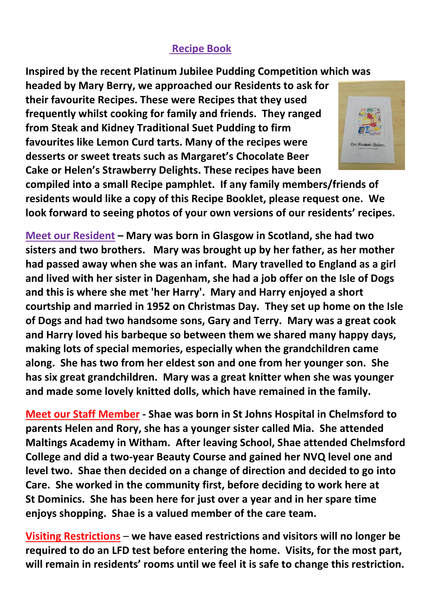#### **Recipe Book**

**Inspired by the recent Platinum Jubilee Pudding Competition which was** 

**headed by Mary Berry, we approached our Residents to ask for their favourite Recipes. These were Recipes that they used frequently whilst cooking for family and friends. They ranged from Steak and Kidney Traditional Suet Pudding to firm favourites like Lemon Curd tarts. Many of the recipes were desserts or sweet treats such as Margaret's Chocolate Beer Cake or Helen's Strawberry Delights. These recipes have been** 



**compiled into a small Recipe pamphlet. If any family members/friends of residents would like a copy of this Recipe Booklet, please request one. We look forward to seeing photos of your own versions of our residents' recipes.** 

**Meet our Resident – Mary was born in Glasgow in Scotland, she had two sisters and two brothers. Mary was brought up by her father, as her mother had passed away when she was an infant. Mary travelled to England as a girl and lived with her sister in Dagenham, she had a job offer on the Isle of Dogs and this is where she met 'her Harry'. Mary and Harry enjoyed a short courtship and married in 1952 on Christmas Day. They set up home on the Isle of Dogs and had two handsome sons, Gary and Terry. Mary was a great cook and Harry loved his barbeque so between them we shared many happy days, making lots of special memories, especially when the grandchildren came along. She has two from her eldest son and one from her younger son. She has six great grandchildren. Mary was a great knitter when she was younger and made some lovely knitted dolls, which have remained in the family.**

**Meet our Staff Member - Shae was born in St Johns Hospital in Chelmsford to parents Helen and Rory, she has a younger sister called Mia. She attended Maltings Academy in Witham. After leaving School, Shae attended Chelmsford College and did a two-year Beauty Course and gained her NVQ level one and level two. Shae then decided on a change of direction and decided to go into Care. She worked in the community first, before deciding to work here at St Dominics. She has been here for just over a year and in her spare time enjoys shopping. Shae is a valued member of the care team.**

**Visiting Restrictions** – **we have eased restrictions and visitors will no longer be required to do an LFD test before entering the home. Visits, for the most part, will remain in residents' rooms until we feel it is safe to change this restriction.**